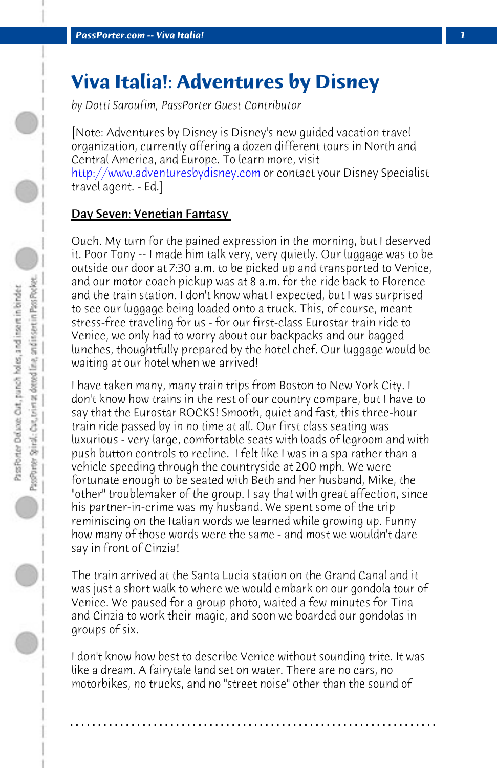*PassPorter.com -- Viva Italia! 1*

# **Viva Italia!: Adventures by Disney**

*by Dotti Saroufim, PassPorter Guest Contributor*

[Note: Adventures by Disney is Disney's new guided vacation travel organization, currently offering a dozen different tours in North and Central America, and Europe. To learn more, visit http://www.adventuresbydisney.com or contact your Disney Specialist travel agent. - Ed.]

# Day Seven: Venetian Fantasy

Ouch. My turn for the pained expression in the morning, but I deserved it. Poor Tony -- I made him talk very, very quietly. Our luggage was to be outside our door at 7:30 a.m. to be picked up and transported to Venice, and our motor coach pickup was at 8 a.m. for the ride back to Florence and the train station. I don't know what I expected, but I was surprised to see our luggage being loaded onto a truck. This, of course, meant stress-free traveling for us - for our first-class Eurostar train ride to Venice, we only had to worry about our backpacks and our bagged lunches, thoughtfully prepared by the hotel chef. Our luggage would be waiting at our hotel when we arrived!

I have taken many, many train trips from Boston to New York City. I don't know how trains in the rest of our country compare, but I have to say that the Eurostar ROCKS! Smooth, quiet and fast, this three-hour train ride passed by in no time at all. Our first class seating was luxurious - very large, comfortable seats with loads of legroom and with push button controls to recline. I felt like I was in a spa rather than a vehicle speeding through the countryside at 200 mph. We were fortunate enough to be seated with Beth and her husband, Mike, the "other" troublemaker of the group. I say that with great affection, since his partner-in-crime was my husband. We spent some of the trip reminiscing on the Italian words we learned while growing up. Funny how many of those words were the same - and most we wouldn't dare say in front of Cinzia!

The train arrived at the Santa Lucia station on the Grand Canal and it was just a short walk to where we would embark on our gondola tour of Venice. We paused for a group photo, waited a few minutes for Tina and Cinzia to work their magic, and soon we boarded our gondolas in groups of six.

I don't know how best to describe Venice without sounding trite. It was like a dream. A fairytale land set on water. There are no cars, no motorbikes, no trucks, and no "street noise" other than the sound of

**. . . . . . . . . . . . . . . . . . . . . . . . . . . . . . . . . . . . . . . . . . . . . . . . . . . . . . . . . . . . . . . . . .**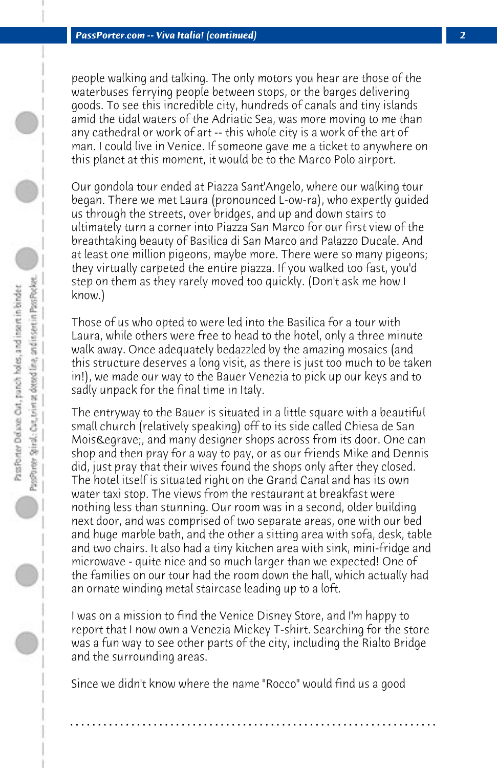people walking and talking. The only motors you hear are those of the waterbuses ferrying people between stops, or the barges delivering goods. To see this incredible city, hundreds of canals and tiny islands amid the tidal waters of the Adriatic Sea, was more moving to me than any cathedral or work of art -- this whole city is a work of the art of man. I could live in Venice. If someone gave me a ticket to anywhere on this planet at this moment, it would be to the Marco Polo airport.

Our gondola tour ended at Piazza Sant'Angelo, where our walking tour began. There we met Laura (pronounced L-ow-ra), who expertly guided us through the streets, over bridges, and up and down stairs to ultimately turn a corner into Piazza San Marco for our first view of the breathtaking beauty of Basilica di San Marco and Palazzo Ducale. And at least one million pigeons, maybe more. There were so many pigeons; they virtually carpeted the entire piazza. If you walked too fast, you'd step on them as they rarely moved too quickly. (Don't ask me how I know.)

Those of us who opted to were led into the Basilica for a tour with Laura, while others were free to head to the hotel, only a three minute walk away. Once adequately bedazzled by the amazing mosaics (and this structure deserves a long visit, as there is just too much to be taken in!), we made our way to the Bauer Venezia to pick up our keys and to sadly unpack for the final time in Italy.

The entryway to the Bauer is situated in a little square with a beautiful small church (relatively speaking) off to its side called Chiesa de San Mois Legrave;, and many designer shops across from its door. One can shop and then pray for a way to pay, or as our friends Mike and Dennis did, just pray that their wives found the shops only after they closed. The hotel itself is situated right on the Grand Canal and has its own water taxi stop. The views from the restaurant at breakfast were nothing less than stunning. Our room was in a second, older building next door, and was comprised of two separate areas, one with our bed and huge marble bath, and the other a sitting area with sofa, desk, table and two chairs. It also had a tiny kitchen area with sink, mini-fridge and microwave - quite nice and so much larger than we expected! One of the families on our tour had the room down the hall, which actually had an ornate winding metal staircase leading up to a loft.

I was on a mission to find the Venice Disney Store, and I'm happy to report that I now own a Venezia Mickey T-shirt. Searching for the store was a fun way to see other parts of the city, including the Rialto Bridge and the surrounding areas.

**. . . . . . . . . . . . . . . . . . . . . . . . . . . . . . . . . . . . . . . . . . . . . . . . . . . . . . . . . . . . . . . . . .**

Since we didn't know where the name "Rocco" would find us a good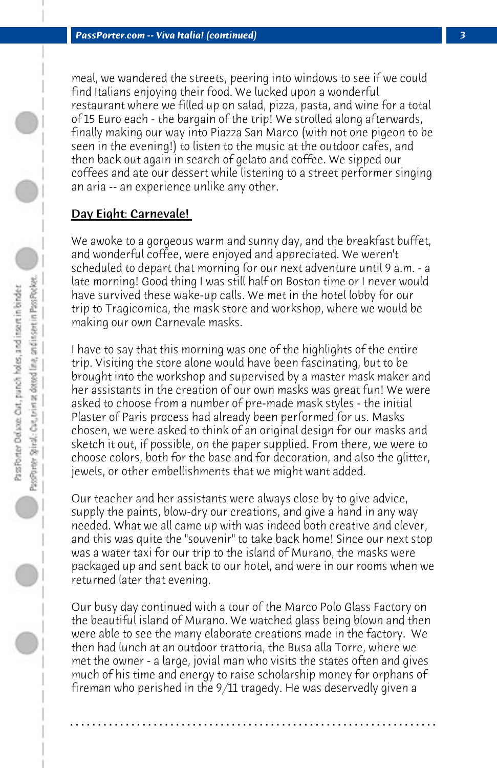meal, we wandered the streets, peering into windows to see if we could find Italians enjoying their food. We lucked upon a wonderful restaurant where we filled up on salad, pizza, pasta, and wine for a total of 15 Euro each - the bargain of the trip! We strolled along afterwards, finally making our way into Piazza San Marco (with not one pigeon to be seen in the evening!) to listen to the music at the outdoor cafes, and then back out again in search of gelato and coffee. We sipped our coffees and ate our dessert while listening to a street performer singing an aria -- an experience unlike any other.

# Day Eight: Carnevale!

We awoke to a gorgeous warm and sunny day, and the breakfast buffet, and wonderful coffee, were enjoyed and appreciated. We weren't scheduled to depart that morning for our next adventure until 9 a.m. - a late morning! Good thing I was still half on Boston time or I never would have survived these wake-up calls. We met in the hotel lobby for our trip to Tragicomica, the mask store and workshop, where we would be making our own Carnevale masks.

I have to say that this morning was one of the highlights of the entire trip. Visiting the store alone would have been fascinating, but to be brought into the workshop and supervised by a master mask maker and her assistants in the creation of our own masks was great fun! We were asked to choose from a number of pre-made mask styles - the initial Plaster of Paris process had already been performed for us. Masks chosen, we were asked to think of an original design for our masks and sketch it out, if possible, on the paper supplied. From there, we were to choose colors, both for the base and for decoration, and also the glitter, jewels, or other embellishments that we might want added.

Our teacher and her assistants were always close by to give advice, supply the paints, blow-dry our creations, and give a hand in any way needed. What we all came up with was indeed both creative and clever, and this was quite the "souvenir" to take back home! Since our next stop was a water taxi for our trip to the island of Murano, the masks were packaged up and sent back to our hotel, and were in our rooms when we returned later that evening.

Our busy day continued with a tour of the Marco Polo Glass Factory on the beautiful island of Murano. We watched glass being blown and then were able to see the many elaborate creations made in the factory. We then had lunch at an outdoor trattoria, the Busa alla Torre, where we met the owner - a large, jovial man who visits the states often and gives much of his time and energy to raise scholarship money for orphans of fireman who perished in the 9/11 tragedy. He was deservedly given a

**. . . . . . . . . . . . . . . . . . . . . . . . . . . . . . . . . . . . . . . . . . . . . . . . . . . . . . . . . . . . . . . . . .**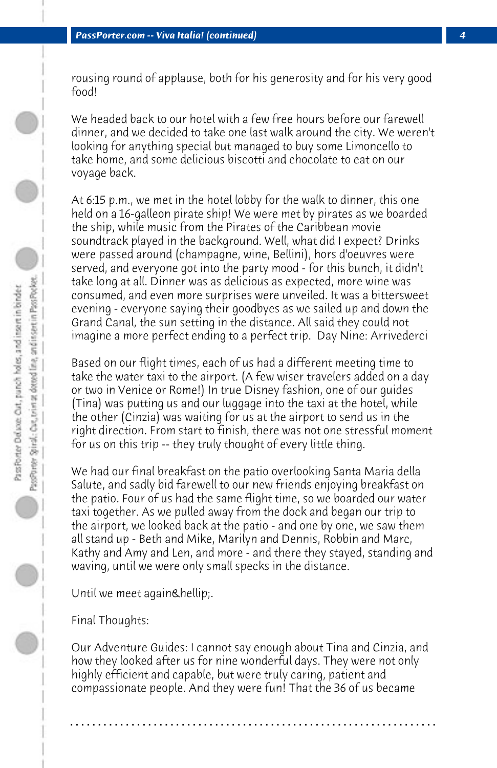rousing round of applause, both for his generosity and for his very good food!

We headed back to our hotel with a few free hours before our farewell dinner, and we decided to take one last walk around the city. We weren't looking for anything special but managed to buy some Limoncello to take home, and some delicious biscotti and chocolate to eat on our voyage back.

At 6:15 p.m., we met in the hotel lobby for the walk to dinner, this one held on a 16-galleon pirate ship! We were met by pirates as we boarded the ship, while music from the Pirates of the Caribbean movie soundtrack played in the background. Well, what did I expect? Drinks were passed around (champagne, wine, Bellini), hors d'oeuvres were served, and everyone got into the party mood - for this bunch, it didn't take long at all. Dinner was as delicious as expected, more wine was consumed, and even more surprises were unveiled. It was a bittersweet evening - everyone saying their goodbyes as we sailed up and down the Grand Canal, the sun setting in the distance. All said they could not imagine a more perfect ending to a perfect trip. Day Nine: Arrivederci

Based on our flight times, each of us had a different meeting time to take the water taxi to the airport. (A few wiser travelers added on a day or two in Venice or Rome!) In true Disney fashion, one of our guides (Tina) was putting us and our luggage into the taxi at the hotel, while the other (Cinzia) was waiting for us at the airport to send us in the right direction. From start to finish, there was not one stressful moment for us on this trip -- they truly thought of every little thing.

We had our final breakfast on the patio overlooking Santa Maria della Salute, and sadly bid farewell to our new friends enjoying breakfast on the patio. Four of us had the same flight time, so we boarded our water taxi together. As we pulled away from the dock and began our trip to the airport, we looked back at the patio - and one by one, we saw them all stand up - Beth and Mike, Marilyn and Dennis, Robbin and Marc, Kathy and Amy and Len, and more - and there they stayed, standing and waving, until we were only small specks in the distance.

Until we meet again….

Final Thoughts:

Our Adventure Guides: I cannot say enough about Tina and Cinzia, and how they looked after us for nine wonderful days. They were not only highly efficient and capable, but were truly caring, patient and compassionate people. And they were fun! That the 36 of us became

**. . . . . . . . . . . . . . . . . . . . . . . . . . . . . . . . . . . . . . . . . . . . . . . . . . . . . . . . . . . . . . . . . .**